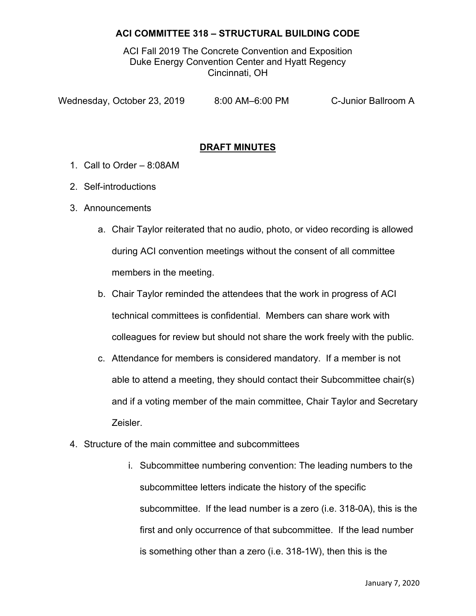ACI Fall 2019 The Concrete Convention and Exposition Duke Energy Convention Center and Hyatt Regency Cincinnati, OH

Wednesday, October 23, 2019 8:00 AM–6:00 PM C-Junior Ballroom A

## **DRAFT MINUTES**

- 1. Call to Order 8:08AM
- 2. Self-introductions
- 3. Announcements
	- a. Chair Taylor reiterated that no audio, photo, or video recording is allowed during ACI convention meetings without the consent of all committee members in the meeting.
	- b. Chair Taylor reminded the attendees that the work in progress of ACI technical committees is confidential. Members can share work with colleagues for review but should not share the work freely with the public.
	- c. Attendance for members is considered mandatory. If a member is not able to attend a meeting, they should contact their Subcommittee chair(s) and if a voting member of the main committee, Chair Taylor and Secretary Zeisler.
- 4. Structure of the main committee and subcommittees
	- i. Subcommittee numbering convention: The leading numbers to the subcommittee letters indicate the history of the specific subcommittee. If the lead number is a zero (i.e. 318-0A), this is the first and only occurrence of that subcommittee. If the lead number is something other than a zero (i.e. 318-1W), then this is the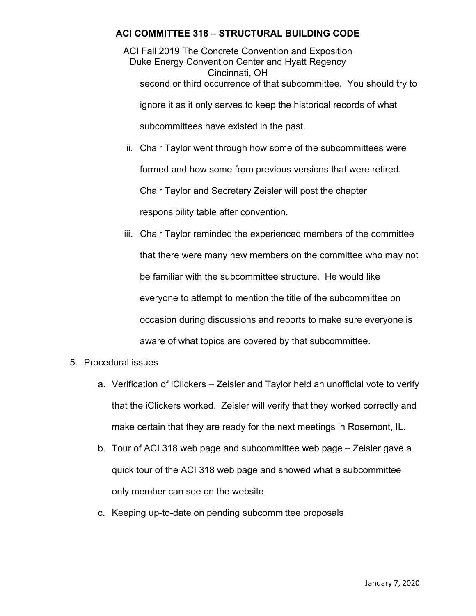ACI Fall 2019 The Concrete Convention and Exposition Duke Energy Convention Center and Hyatt Regency Cincinnati, OH second or third occurrence of that subcommittee. You should try to ignore it as it only serves to keep the historical records of what subcommittees have existed in the past.

- ii. Chair Taylor went through how some of the subcommittees were formed and how some from previous versions that were retired. Chair Taylor and Secretary Zeisler will post the chapter responsibility table after convention.
- iii. Chair Taylor reminded the experienced members of the committee that there were many new members on the committee who may not be familiar with the subcommittee structure. He would like everyone to attempt to mention the title of the subcommittee on occasion during discussions and reports to make sure everyone is aware of what topics are covered by that subcommittee.
- 5. Procedural issues
	- a. Verification of iClickers Zeisler and Taylor held an unofficial vote to verify that the iClickers worked. Zeisler will verify that they worked correctly and make certain that they are ready for the next meetings in Rosemont, IL.
	- b. Tour of ACI 318 web page and subcommittee web page Zeisler gave a quick tour of the ACI 318 web page and showed what a subcommittee only member can see on the website.
	- c. Keeping up-to-date on pending subcommittee proposals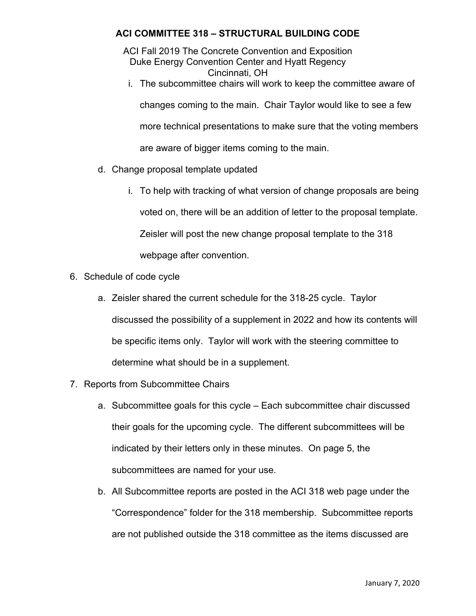ACI Fall 2019 The Concrete Convention and Exposition Duke Energy Convention Center and Hyatt Regency Cincinnati, OH

i. The subcommittee chairs will work to keep the committee aware of

changes coming to the main. Chair Taylor would like to see a few

more technical presentations to make sure that the voting members

are aware of bigger items coming to the main.

- d. Change proposal template updated
	- i. To help with tracking of what version of change proposals are being voted on, there will be an addition of letter to the proposal template. Zeisler will post the new change proposal template to the 318 webpage after convention.
- 6. Schedule of code cycle
	- a. Zeisler shared the current schedule for the 318-25 cycle. Taylor discussed the possibility of a supplement in 2022 and how its contents will be specific items only. Taylor will work with the steering committee to determine what should be in a supplement.
- 7. Reports from Subcommittee Chairs
	- a. Subcommittee goals for this cycle Each subcommittee chair discussed their goals for the upcoming cycle. The different subcommittees will be indicated by their letters only in these minutes. On page 5, the subcommittees are named for your use.
	- b. All Subcommittee reports are posted in the ACI 318 web page under the "Correspondence" folder for the 318 membership. Subcommittee reports are not published outside the 318 committee as the items discussed are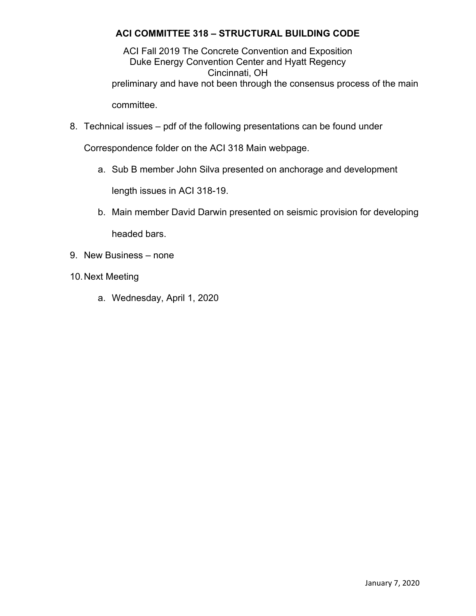ACI Fall 2019 The Concrete Convention and Exposition Duke Energy Convention Center and Hyatt Regency Cincinnati, OH preliminary and have not been through the consensus process of the main committee.

8. Technical issues – pdf of the following presentations can be found under

Correspondence folder on the ACI 318 Main webpage.

a. Sub B member John Silva presented on anchorage and development

length issues in ACI 318-19.

- b. Main member David Darwin presented on seismic provision for developing headed bars.
- 9. New Business none
- 10. Next Meeting
	- a. Wednesday, April 1, 2020